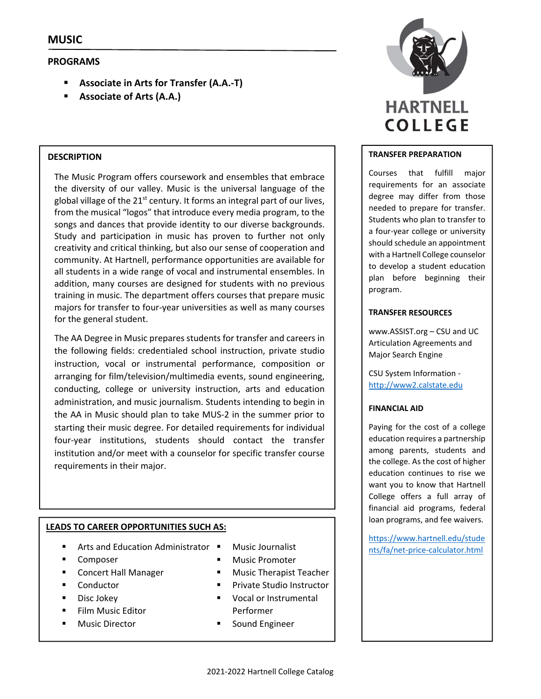# **PROGRAMS**

- **Associate in Arts for Transfer (A.A.‐T)**
- **Associate of Arts (A.A.)**

## **DESCRIPTION**

The Music Program offers coursework and ensembles that embrace the diversity of our valley. Music is the universal language of the global village of the  $21^{st}$  century. It forms an integral part of our lives, from the musical "logos" that introduce every media program, to the songs and dances that provide identity to our diverse backgrounds. Study and participation in music has proven to further not only creativity and critical thinking, but also our sense of cooperation and community. At Hartnell, performance opportunities are available for all students in a wide range of vocal and instrumental ensembles. In addition, many courses are designed for students with no previous training in music. The department offers courses that prepare music majors for transfer to four‐year universities as well as many courses for the general student.

The AA Degree in Music prepares students for transfer and careers in the following fields: credentialed school instruction, private studio instruction, vocal or instrumental performance, composition or arranging for film/television/multimedia events, sound engineering, conducting, college or university instruction, arts and education administration, and music journalism. Students intending to begin in the AA in Music should plan to take MUS‐2 in the summer prior to starting their music degree. For detailed requirements for individual four‐year institutions, students should contact the transfer institution and/or meet with a counselor for specific transfer course requirements in their major.

# **LEADS TO CAREER OPPORTUNITIES SUCH AS:**

- Arts and Education Administrator  $\blacksquare$
- Composer
- **E** Concert Hall Manager
- Conductor
- Disc Jokey
- Film Music Editor
- Music Director
- 
- Music Promoter
- Music Therapist Teacher
- Private Studio Instructor
- Vocal or Instrumental Performer
- Sound Engineer



#### **TRANSFER PREPARATION**

Courses that fulfill major requirements for an associate degree may differ from those needed to prepare for transfer. Students who plan to transfer to a four‐year college or university should schedule an appointment with a Hartnell College counselor to develop a student education plan before beginning their program.

#### **TRANSFER RESOURCES**

www.ASSIST.org – CSU and UC Articulation Agreements and Major Search Engine

CSU System Information ‐ http://www2.calstate.edu

## **FINANCIAL AID**

Paying for the cost of a college education requires a partnership among parents, students and the college. As the cost of higher education continues to rise we want you to know that Hartnell College offers a full array of financial aid programs, federal loan programs, and fee waivers.

https://www.hartnell.edu/stude Music Journalist **Nusic Journalist Nusic Journalist number**  $\frac{1}{\text{nts/fa/net-price-calculator.html}}$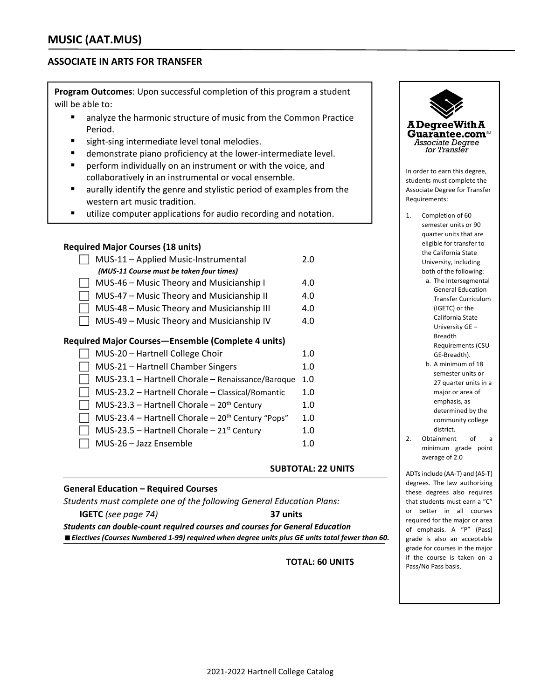# **ASSOCIATE IN ARTS FOR TRANSFER**

**Program Outcomes**: Upon successful completion of this program a student will be able to:

- analyze the harmonic structure of music from the Common Practice Period.
- sight-sing intermediate level tonal melodies.
- demonstrate piano proficiency at the lower-intermediate level.
- **P** perform individually on an instrument or with the voice, and collaboratively in an instrumental or vocal ensemble.
- aurally identify the genre and stylistic period of examples from the western art music tradition.
- **utilize computer applications for audio recording and notation.**

#### **Required Major Courses (18 units)**

| MUS-11 - Applied Music-Instrumental                | 2.0         |  |  |  |
|----------------------------------------------------|-------------|--|--|--|
| (MUS-11 Course must be taken four times)           |             |  |  |  |
| MUS-46 - Music Theory and Musicianship I           | 4.0         |  |  |  |
| MUS-47 - Music Theory and Musicianship II          | 4.0         |  |  |  |
| MUS-48 - Music Theory and Musicianship III         | 4.0         |  |  |  |
| MUS-49 - Music Theory and Musicianship IV          | 4.0         |  |  |  |
| Required Major Courses—Ensemble (Complete 4 units) |             |  |  |  |
| MUS-20 - Hartnell College Choir                    | 1. $\Omega$ |  |  |  |
| MUS-21 - Hartnell Chamber Singers                  | 1 ∩         |  |  |  |

| <b>NOS 21 THANGE CHAINS ONE CONT</b>                | 1.U |
|-----------------------------------------------------|-----|
| MUS-23.1 - Hartnell Chorale - Renaissance/Baroque   | 1.0 |
| MUS-23.2 - Hartnell Chorale - Classical/Romantic    | 1.0 |
| MUS-23.3 - Hartnell Chorale - $20th$ Century        | 1.0 |
| MUS-23.4 - Hartnell Chorale - $20th$ Century "Pops" | 1.0 |
| MUS-23.5 - Hartnell Chorale - $21st$ Century        | 1.0 |
| MUS-26 - Jazz Ensemble                              | 1.0 |

#### **SUBTOTAL: 22 UNITS**

#### **General Education – Required Courses**

*Students must complete one of the following General Education Plans:*

**IGETC** *(see page 74)*  **37 units** *Students can double‐count required courses and courses for General Education Electives (Courses Numbered 1‐99) required when degree units plus GE units total fewer than 60.*

**TOTAL: 60 UNITS** 



- a. The Intersegmental General Education Transfer Curriculum (IGETC) or the California State University GE – Breadth Requirements (CSU GE‐Breadth).
- b. A minimum of 18 semester units or 27 quarter units in a major or area of emphasis, as determined by the community college district.
- 2. Obtainment of a minimum grade point average of 2.0

ADTsinclude (AA‐T) and (AS‐T) degrees. The law authorizing these degrees also requires that students must earn a "C" or better in all courses required for the major or area of emphasis. A "P" (Pass) grade is also an acceptable grade for courses in the major if the course is taken on a Pass/No Pass basis.